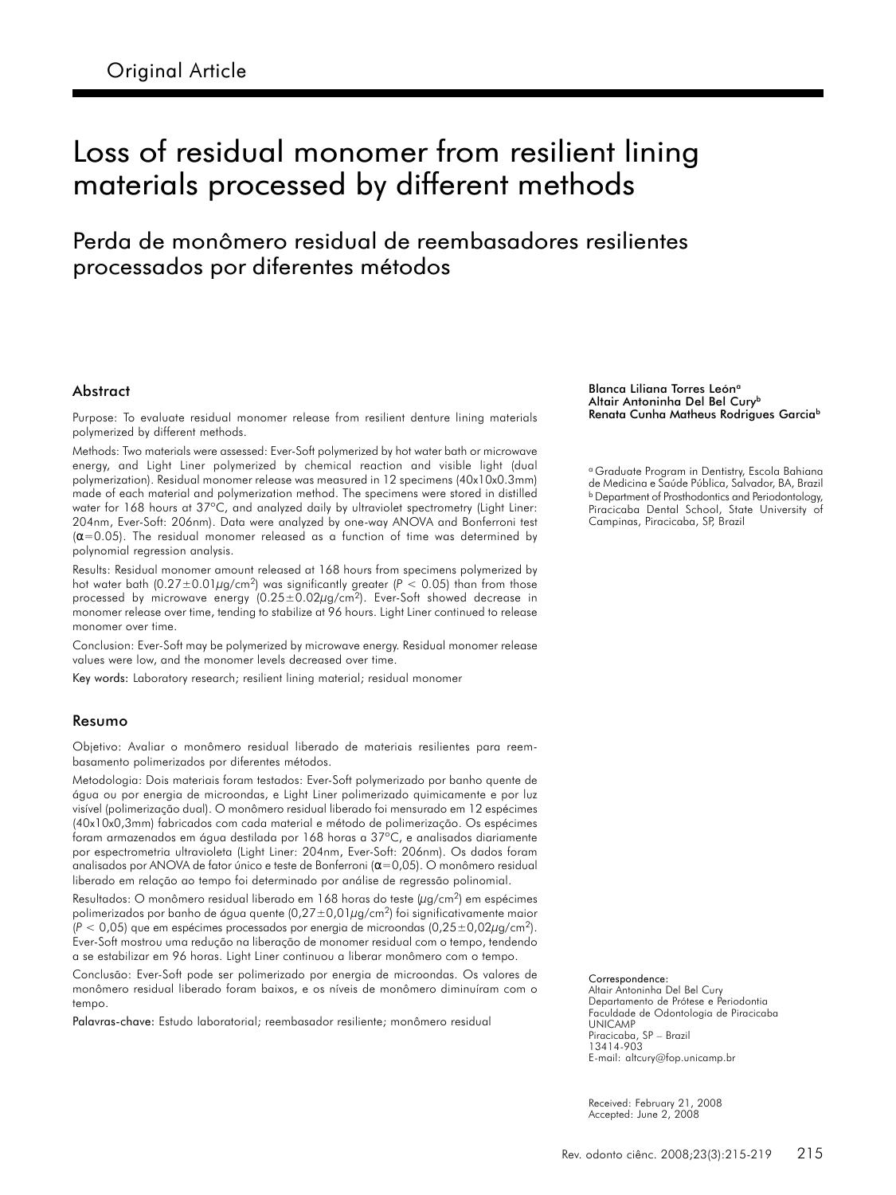# Loss of residual monomer from resilient lining materials processed by different methods

## Perda de monômero residual de reembasadores resilientes processados por diferentes métodos

#### Abstract

Purpose: To evaluate residual monomer release from resilient denture lining materials polymerized by different methods.

Methods: Two materials were assessed: Ever-Soft polymerized by hot water bath or microwave energy, and Light Liner polymerized by chemical reaction and visible light (dual polymerization). Residual monomer release was measured in 12 specimens (40x10x0.3mm) made of each material and polymerization method. The specimens were stored in distilled water for 168 hours at 37°C, and analyzed daily by ultraviolet spectrometry (Light Liner: 204nm, Ever-Soft: 206nm). Data were analyzed by one-way ANOVA and Bonferroni test  $(\alpha=0.05)$ . The residual monomer released as a function of time was determined by polynomial regression analysis.

Results: Residual monomer amount released at 168 hours from specimens polymerized by hot water bath  $(0.27 \pm 0.01 \mu g/cm^2)$  was significantly greater ( $P < 0.05$ ) than from those processed by microwave energy (0.25±0.02µg/cm2). Ever-Soft showed decrease in monomer release over time, tending to stabilize at 96 hours. Light Liner continued to release monomer over time.

Conclusion: Ever-Soft may be polymerized by microwave energy. Residual monomer release values were low, and the monomer levels decreased over time.

Key words: Laboratory research; resilient lining material; residual monomer

#### Resumo

Objetivo: Avaliar o monômero residual liberado de materiais resilientes para reembasamento polimerizados por diferentes métodos.

Metodologia: Dois materiais foram testados: Ever-Soft polymerizado por banho quente de água ou por energia de microondas, e Light Liner polimerizado quimicamente e por luz visível (polimerização dual). O monômero residual liberado foi mensurado em 12 espécimes (40x10x0,3mm) fabricados com cada material e método de polimerização. Os espécimes foram armazenados em água destilada por 168 horas a 37ºC, e analisados diariamente por espectrometria ultravioleta (Light Liner: 204nm, Ever-Soft: 206nm). Os dados foram analisados por ANOVA de fator único e teste de Bonferroni ( $\alpha$ =0,05). O monômero residual liberado em relação ao tempo foi determinado por análise de regressão polinomial.

Resultados: O monômero residual liberado em 168 horas do teste (µg/cm<sup>2</sup>) em espécimes polimerizados por banho de água quente  $(0.27 \pm 0.01 \mu g/cm^2)$  foi significativamente maior  $(P < 0.05)$  que em espécimes processados por energia de microondas  $(0.25 \pm 0.02 \mu g/cm^2)$ . Ever-Soft mostrou uma redução na liberação de monomer residual com o tempo, tendendo a se estabilizar em 96 horas. Light Liner continuou a liberar monômero com o tempo.

Conclusão: Ever-Soft pode ser polimerizado por energia de microondas. Os valores de monômero residual liberado foram baixos, e os níveis de monômero diminuíram com o tempo.

Palavras-chave: Estudo laboratorial; reembasador resiliente; monômero residual

#### Blanca Liliana Torres León<sup>a</sup> Altair Antoninha Del Bel Cury<sup>b</sup> Renata Cunha Matheus Rodrigues Garcia<sup>b</sup>

<sup>a</sup> Graduate Program in Dentistry, Escola Bahiana de Medicina e Saúde Pública, Salvador, BA, Brazil <sup>b</sup> Department of Prosthodontics and Periodontology, Piracicaba Dental School, State University of Campinas, Piracicaba, SP, Brazil

Correspondence: Altair Antoninha Del Bel Cury Departamento de Prótese e Periodontia Faculdade de Odontologia de Piracicaba UNICAMP Piracicaba, SP – Brazil 13414-903 E-mail: altcury@fop.unicamp.br

Received: February 21, 2008 Accepted: June 2, 2008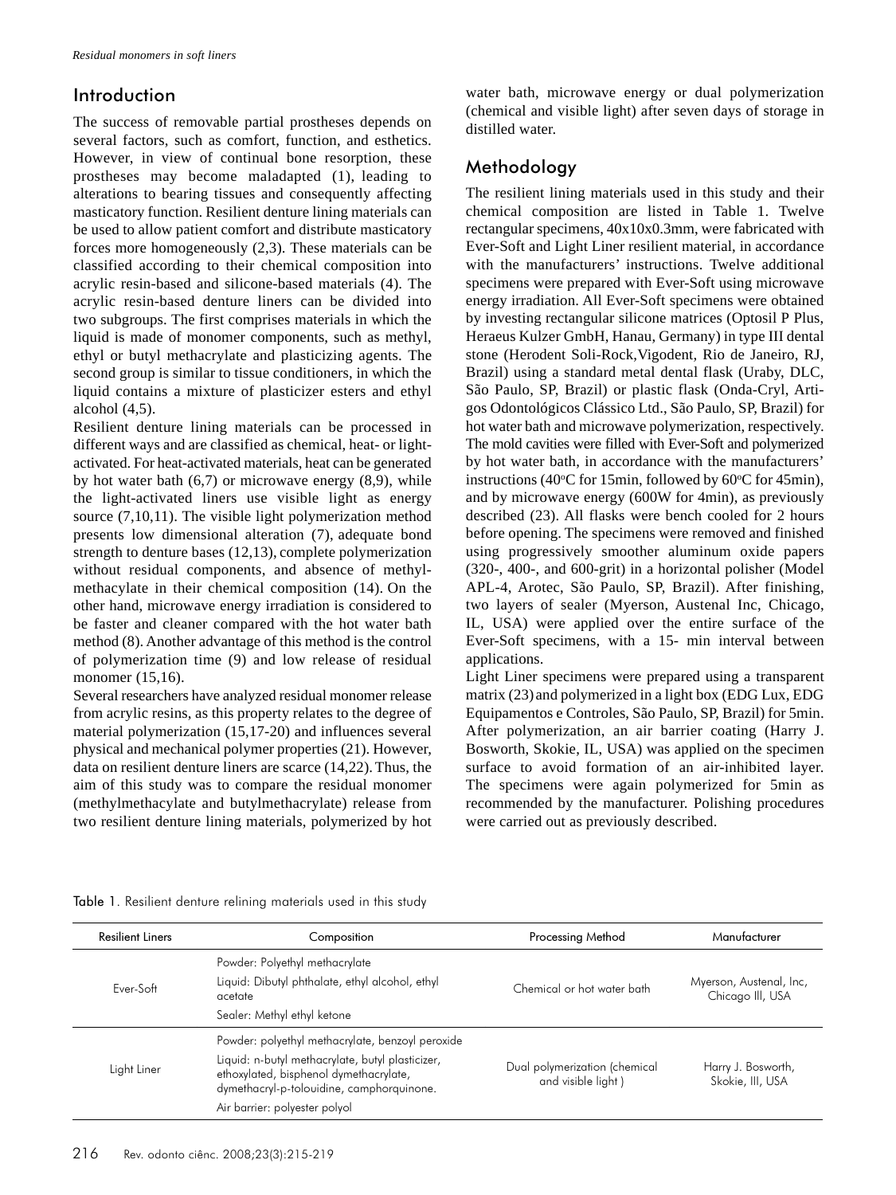#### Introduction

The success of removable partial prostheses depends on several factors, such as comfort, function, and esthetics. However, in view of continual bone resorption, these prostheses may become maladapted (1), leading to alterations to bearing tissues and consequently affecting masticatory function. Resilient denture lining materials can be used to allow patient comfort and distribute masticatory forces more homogeneously (2,3). These materials can be classified according to their chemical composition into acrylic resin-based and silicone-based materials (4). The acrylic resin-based denture liners can be divided into two subgroups. The first comprises materials in which the liquid is made of monomer components, such as methyl, ethyl or butyl methacrylate and plasticizing agents. The second group is similar to tissue conditioners, in which the liquid contains a mixture of plasticizer esters and ethyl alcohol (4,5).

Resilient denture lining materials can be processed in different ways and are classified as chemical, heat- or lightactivated. For heat-activated materials, heat can be generated by hot water bath  $(6,7)$  or microwave energy  $(8,9)$ , while the light-activated liners use visible light as energy source (7,10,11). The visible light polymerization method presents low dimensional alteration (7), adequate bond strength to denture bases (12,13), complete polymerization without residual components, and absence of methylmethacylate in their chemical composition (14). On the other hand, microwave energy irradiation is considered to be faster and cleaner compared with the hot water bath method (8). Another advantage of this method is the control of polymerization time (9) and low release of residual monomer (15,16).

Several researchers have analyzed residual monomer release from acrylic resins, as this property relates to the degree of material polymerization (15,17-20) and influences several physical and mechanical polymer properties (21). However, data on resilient denture liners are scarce (14,22).Thus, the aim of this study was to compare the residual monomer (methylmethacylate and butylmethacrylate) release from two resilient denture lining materials, polymerized by hot water bath, microwave energy or dual polymerization (chemical and visible light) after seven days of storage in distilled water.

## Methodology

The resilient lining materials used in this study and their chemical composition are listed in Table 1. Twelve rectangular specimens, 40x10x0.3mm, were fabricated with Ever-Soft and Light Liner resilient material, in accordance with the manufacturers' instructions. Twelve additional specimens were prepared with Ever-Soft using microwave energy irradiation. All Ever-Soft specimens were obtained by investing rectangular silicone matrices (Optosil P Plus, Heraeus Kulzer GmbH, Hanau, Germany) in type III dental stone (Herodent Soli-Rock,Vigodent, Rio de Janeiro, RJ, Brazil) using a standard metal dental flask (Uraby, DLC, São Paulo, SP, Brazil) or plastic flask (Onda-Cryl, Artigos Odontológicos Clássico Ltd., São Paulo, SP, Brazil) for hot water bath and microwave polymerization, respectively. The mold cavities were filled with Ever-Soft and polymerized by hot water bath, in accordance with the manufacturers' instructions (40 $\degree$ C for 15min, followed by 60 $\degree$ C for 45min), and by microwave energy (600W for 4min), as previously described (23). All flasks were bench cooled for 2 hours before opening. The specimens were removed and finished using progressively smoother aluminum oxide papers (320-, 400-, and 600-grit) in a horizontal polisher (Model APL-4, Arotec, São Paulo, SP, Brazil). After finishing, two layers of sealer (Myerson, Austenal Inc, Chicago, IL, USA) were applied over the entire surface of the Ever-Soft specimens, with a 15- min interval between applications.

Light Liner specimens were prepared using a transparent matrix (23) and polymerized in a light box (EDG Lux, EDG Equipamentos e Controles, São Paulo, SP, Brazil) for 5min. After polymerization, an air barrier coating (Harry J. Bosworth, Skokie, IL, USA) was applied on the specimen surface to avoid formation of an air-inhibited layer. The specimens were again polymerized for 5min as recommended by the manufacturer. Polishing procedures were carried out as previously described.

|  |  |  |  | Table 1. Resilient denture relining materials used in this study |  |  |  |  |
|--|--|--|--|------------------------------------------------------------------|--|--|--|--|
|--|--|--|--|------------------------------------------------------------------|--|--|--|--|

| <b>Resilient Liners</b> | Composition                                                                                                                                                                                                                  | <b>Processing Method</b>                            | Manufacturer                                |
|-------------------------|------------------------------------------------------------------------------------------------------------------------------------------------------------------------------------------------------------------------------|-----------------------------------------------------|---------------------------------------------|
| Ever-Soft               | Powder: Polyethyl methacrylate<br>Liquid: Dibutyl phthalate, ethyl alcohol, ethyl<br>acetate<br>Sealer: Methyl ethyl ketone                                                                                                  | Chemical or hot water bath                          | Myerson, Austenal, Inc,<br>Chicago III, USA |
| Light Liner             | Powder: polyethyl methacrylate, benzoyl peroxide<br>Liquid: n-butyl methacrylate, butyl plasticizer,<br>ethoxylated, bisphenol dymethacrylate,<br>dymethacryl-p-tolouidine, camphorquinone.<br>Air barrier: polyester polyol | Dual polymerization (chemical<br>and visible light) | Harry J. Bosworth,<br>Skokie, III, USA      |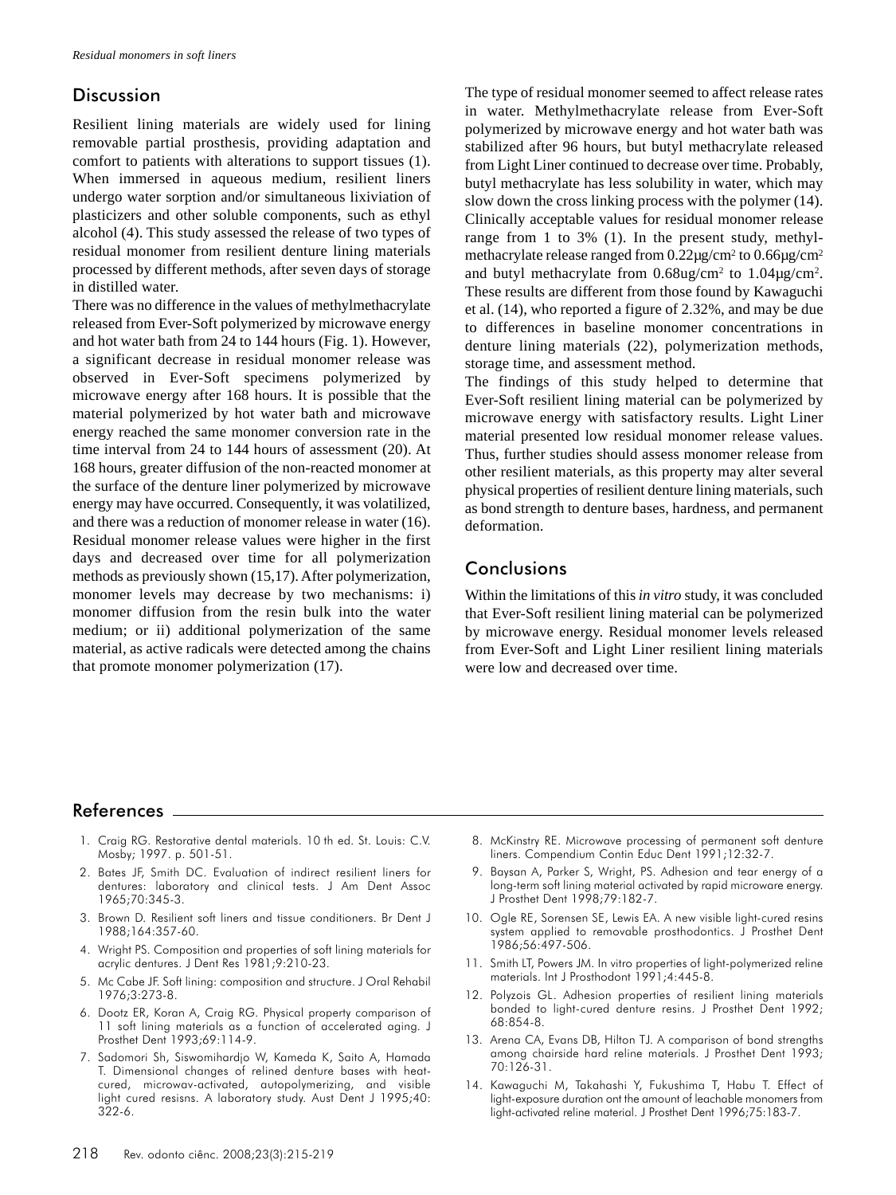### **Discussion**

Resilient lining materials are widely used for lining removable partial prosthesis, providing adaptation and comfort to patients with alterations to support tissues (1). When immersed in aqueous medium, resilient liners undergo water sorption and/or simultaneous lixiviation of plasticizers and other soluble components, such as ethyl alcohol (4). This study assessed the release of two types of residual monomer from resilient denture lining materials processed by different methods, after seven days of storage in distilled water.

There was no difference in the values of methylmethacrylate released from Ever-Soft polymerized by microwave energy and hot water bath from 24 to 144 hours (Fig. 1). However, a significant decrease in residual monomer release was observed in Ever-Soft specimens polymerized by microwave energy after 168 hours. It is possible that the material polymerized by hot water bath and microwave energy reached the same monomer conversion rate in the time interval from 24 to 144 hours of assessment (20). At 168 hours, greater diffusion of the non-reacted monomer at the surface of the denture liner polymerized by microwave energy may have occurred. Consequently, it was volatilized, and there was a reduction of monomer release in water (16). Residual monomer release values were higher in the first days and decreased over time for all polymerization methods as previously shown (15,17). After polymerization, monomer levels may decrease by two mechanisms: i) monomer diffusion from the resin bulk into the water medium; or ii) additional polymerization of the same material, as active radicals were detected among the chains that promote monomer polymerization (17).

The type of residual monomer seemed to affect release rates in water. Methylmethacrylate release from Ever-Soft polymerized by microwave energy and hot water bath was stabilized after 96 hours, but butyl methacrylate released from Light Liner continued to decrease over time. Probably, butyl methacrylate has less solubility in water, which may slow down the cross linking process with the polymer (14). Clinically acceptable values for residual monomer release range from 1 to 3% (1). In the present study, methylmethacrylate release ranged from  $0.22\mu$ g/cm<sup>2</sup> to  $0.66\mu$ g/cm<sup>2</sup> and butyl methacrylate from  $0.68$ ug/cm<sup>2</sup> to  $1.04$ ug/cm<sup>2</sup>. These results are different from those found by Kawaguchi et al. (14), who reported a figure of 2.32%, and may be due to differences in baseline monomer concentrations in denture lining materials (22), polymerization methods, storage time, and assessment method.

The findings of this study helped to determine that Ever-Soft resilient lining material can be polymerized by microwave energy with satisfactory results. Light Liner material presented low residual monomer release values. Thus, further studies should assess monomer release from other resilient materials, as this property may alter several physical properties of resilient denture lining materials, such as bond strength to denture bases, hardness, and permanent deformation.

## **Conclusions**

Within the limitations of this *in vitro* study, it was concluded that Ever-Soft resilient lining material can be polymerized by microwave energy. Residual monomer levels released from Ever-Soft and Light Liner resilient lining materials were low and decreased over time.

### References

- 1. Craig RG. Restorative dental materials. 10 th ed. St. Louis: C.V. Mosby; 1997. p. 501-51.
- 2. Bates JF, Smith DC. Evaluation of indirect resilient liners for dentures: laboratory and clinical tests. J Am Dent Assoc 1965;70:345-3.
- 3. Brown D. Resilient soft liners and tissue conditioners. Br Dent J 1988;164:357-60.
- 4. Wright PS. Composition and properties of soft lining materials for acrylic dentures. J Dent Res 1981;9:210-23.
- 5. Mc Cabe JF. Soft lining: composition and structure. J Oral Rehabil 1976;3:273-8.
- 6. Dootz ER, Koran A, Craig RG. Physical property comparison of 11 soft lining materials as a function of accelerated aging. J Prosthet Dent 1993;69:114-9.
- 7. Sadomori Sh, Siswomihardjo W, Kameda K, Saito A, Hamada T. Dimensional changes of relined denture bases with heatcured, microwav-activated, autopolymerizing, and visible light cured resisns. A laboratory study. Aust Dent J 1995;40: 322-6.
- 8. McKinstry RE. Microwave processing of permanent soft denture liners. Compendium Contin Educ Dent 1991;12:32-7.
- 9. Baysan A, Parker S, Wright, PS. Adhesion and tear energy of a long-term soft lining material activated by rapid microware energy. J Prosthet Dent 1998;79:182-7.
- 10. Ogle RE, Sorensen SE, Lewis EA. A new visible light-cured resins system applied to removable prosthodontics. J Prosthet Dent 1986;56:497-506.
- 11. Smith LT, Powers JM. In vitro properties of light-polymerized reline materials. Int J Prosthodont 1991;4:445-8.
- 12. Polyzois GL. Adhesion properties of resilient lining materials bonded to light-cured denture resins. J Prosthet Dent 1992; 68:854-8.
- 13. Arena CA, Evans DB, Hilton TJ. A comparison of bond strengths among chairside hard reline materials. J Prosthet Dent 1993;  $70.126 - 31$
- 14. Kawaguchi M, Takahashi Y, Fukushima T, Habu T. Effect of light-exposure duration ont the amount of leachable monomers from light-activated reline material. J Prosthet Dent 1996;75:183-7.